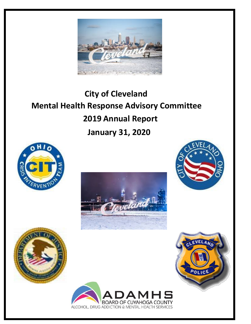

# **City of Cleveland Mental Health Response Advisory Committee 2019 Annual Report January 31, 2020**











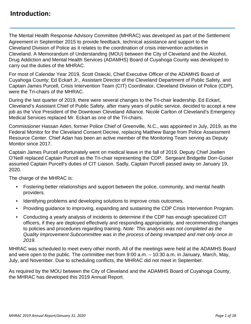# **Introduction:**

The Mental Health Response Advisory Committee (MHRAC) was developed as part of the Settlement Agreement in September 2015 to provide feedback, technical assistance and support to the Cleveland Division of Police as it relates to the coordination of crisis intervention activities in Cleveland. A Memorandum of Understanding (MOU) between the City of Cleveland and the Alcohol, Drug Addiction and Mental Health Services (ADAMHS) Board of Cuyahoga County was developed to carry out the duties of the MHRAC.

For most of Calendar Year 2019, Scott Osiecki, Chief Executive Officer of the ADAMHS Board of Cuyahoga County; Ed Eckart Jr., Assistant Director of the Cleveland Department of Public Safety, and Captain James Purcell, Crisis Intervention Team (CIT) Coordinator, Cleveland Division of Police (CDP), were the Tri-chairs of the MHRAC.

During the last quarter of 2019, there were several changes to the Tri-chair leadership. Ed Eckart, Cleveland's Assistant Chief of Public Safety, after many years of public service, decided to accept a new job as the Vice President of the Downtown Cleveland Alliance. Nicole Carlton of Cleveland's Emergency Medical Services replaced Mr. Eckart as one of the Tri-chairs.

Commissioner Hassan Aden, former Police Chief of Greenville, N.C., was appointed in July, 2019, as the Federal Monitor for the Cleveland Consent Decree, replacing Matthew Barge from Police Assessment Resource Center. Chief Adan has been an active member of the Monitoring Team serving as Deputy Monitor since 2017.

Captain James Purcell unfortunately went on medical leave in the fall of 2019. Deputy Chief Joellen O'Neill replaced Captain Purcell as the Tri-chair representing the CDP. Sergeant Bridgette Dorr-Guiser assumed Captain Purcell's duties of CIT Liaison. Sadly, Captain Purcell passed away on January 19, 2020.

The charge of the MHRAC is:

- Fostering better relationships and support between the police, community, and mental health providers.
- Identifying problems and developing solutions to improve crisis outcomes.
- Providing guidance to improving, expanding and sustaining the CDP Crisis Intervention Program.
- Conducting a yearly analysis of incidents to determine if the CDP has enough specialized CIT officers, if they are deployed effectively and responding appropriately, and recommending changes to policies and procedures regarding training. *Note: This analysis was not completed as the Quality Improvement Subcommittee was in the process of being revamped and met only once in 2019.*

MHRAC was scheduled to meet every other month. All of the meetings were held at the ADAMHS Board and were open to the public. The committee met from 9:00 a.m. – 10:30 a.m. in January, March, May, July, and November. Due to scheduling conflicts, the MHRAC did not meet in September.

As required by the MOU between the City of Cleveland and the ADAMHS Board of Cuyahoga County, the MHRAC has developed this 2019 Annual Report.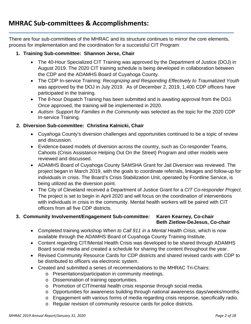There are four sub-committees of the MHRAC and its structure continues to mirror the core elements, process for implementation and the coordination for a successful CIT Program:

## **1. Training Sub-committee: Shannon Jerse, Chair**

- The 40-Hour Specialized CIT Training was approved by the Department of Justice (DOJ) in August 2019. The 2020 CIT training schedule is being developed in collaboration between the CDP and the ADAMHS Board of Cuyahoga County.
- The CDP In-service Training*: Recognizing and Responding Effectively to Traumatized Youth*  was approved by the DOJ in July 2019. As of December 2, 2019, 1,400 CDP officers have participated in the training.
- The 8-hour Dispatch Training has been submitted and is awaiting approval from the DOJ. Once approved, the training will be implemented in 2020.
- *Autism: Support for Families in the Community* was selected as the topic for the 2020 CDP In-service Training.

## **2. Diversion Sub-committee: Christina Kalnicki, Chair**

- Cuyahoga County's diversion challenges and opportunities continued to be a topic of review and discussion.
- Evidence-based models of diversion across the country, such as Co-responder Teams, Cahoots (Crisis Assistance Helping Out On the Street) Program and other models were reviewed and discussed.
- ADAMHS Board of Cuyahoga County SAMSHA Grant for Jail Diversion was reviewed. The project began in March 2019, with the goals to coordinate referrals, linkages and follow-up for individuals in crisis. The Board's Crisis Stabilization Unit, operated by Frontline Service, is being utilized as the diversion point.
- The City of Cleveland received a Department of Justice Grant for a *CIT Co-responder Project*. The project is set to begin in April 2020 and will focus on the coordination of interventions with individuals in crisis in the community. Mental health workers will be paired with CIT officers from all five CDP districts.

## **3. Community Involvement/Engagement Sub-committee: Karen Kearney, Co-chair Beth Zietlow-DeJesus, Co-chair**

- Completed training workshop *When to Call 911 in a Mental Health Crisis*, which is now available through the ADAMHS Board of Cuyahoga County Training Institute.
- Content regarding CIT/Mental Health Crisis was developed to be shared through ADAMHS Board social media and created a schedule for sharing the content throughout the year.
- Revised Community Resource Cards for CDP districts and shared revised cards with CDP to be distributed to officers via electronic system.
- Created and submitted a series of recommendations to the MHRAC Tri-Chairs:
	- o Presentations/participation in community meetings.
	- o Dissemination of training opportunities.
	- o Promotion of CIT/mental health crisis response through social media.
	- o Opportunities for awareness building through national awareness days/weeks/months.
	- o Engagement with various forms of media regarding crisis response, specifically radio.
	- o Regular revision of community resource cards for police districts.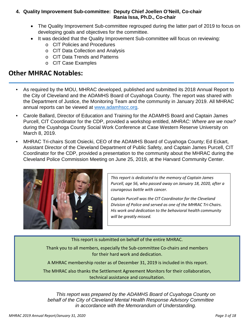## **4. Quality Improvement Sub-committee: Deputy Chief Joellen O'Neill, Co-chair Rania Issa, Ph.D., Co-chair**

- The Quality Improvement Sub-committee regrouped during the latter part of 2019 to focus on developing goals and objectives for the committee.
- It was decided that the Quality Improvement Sub-committee will focus on reviewing:
	- o CIT Policies and Procedures
	- o CIT Data Collection and Analysis
	- o CIT Data Trends and Patterns
	- o CIT Case Examples

## **Other MHRAC Notables:**

- As required by the MOU, MHRAC developed, published and submitted its 2018 Annual Report to the City of Cleveland and the ADAMHS Board of Cuyahoga County. The report was shared with the Department of Justice, the Monitoring Team and the community in January 2019. All MHRAC annual reports can be viewed at [www.adamhscc.org.](http://www.adamhscc.org/)
- Carole Ballard, Director of Education and Training for the ADAMHS Board and Captain James Purcell, CIT Coordinator for the CDP, provided a workshop entitled, *MHRAC: Where are we now?* during the Cuyahoga County Social Work Conference at Case Western Reserve University on March 8, 2019.
- MHRAC Tri-chairs Scott Osiecki, CEO of the ADAMHS Board of Cuyahoga County; Ed Eckart, Assistant Director of the Cleveland Department of Public Safety, and Captain James Purcell, CIT Coordinator for the CDP, provided a presentation to the community about the MHRAC during the Cleveland Police Commission Meeting on June 25, 2019, at the Harvard Community Center.



*This report is dedicated to the memory of Captain James Purcell, age 56, who passed away on January 18, 2020, after a courageous battle with cancer.* 

*Captain Purcell was the CIT Coordinator for the Cleveland Division of Police and served as one of the MHRAC Tri-Chairs. His work and dedication to the behavioral health community will be greatly missed.*

## This report is submitted on behalf of the entire MHRAC.

Thank you to all members, especially the Sub-committee Co-chairs and members for their hard work and dedication.

A MHRAC membership roster as of December 31, 2019 is included in this report.

The MHRAC also thanks the Settlement Agreement Monitors for their collaboration, technical assistance and consultation.

*This report was prepared by the ADAMHS Board of Cuyahoga County on behalf of the City of Cleveland Mental Health Response Advisory Committee in accordance with the Memorandum of Understanding.*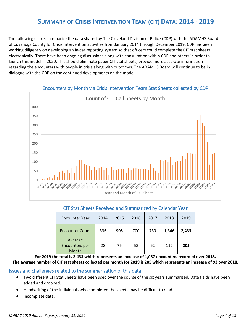The following charts summarize the data shared by The Cleveland Division of Police (CDP) with the ADAMHS Board of Cuyahoga County for Crisis Intervention activities from January 2014 through December 2019. CDP has been working diligently on developing an in-car reporting system so that officers could complete the CIT stat sheets electronically. There have been ongoing discussions along with consultation within CDP and others in order to launch this model in 2020. This should eliminate paper CIT stat sheets, provide more accurate information regarding the encounters with people in crisis along with outcomes. The ADAMHS Board will continue to be in dialogue with the CDP on the continued developments on the model.



#### Encounters by Month via Crisis Intervention Team Stat Sheets collected by CDP

#### CIT Stat Sheets Received and Summarized by Calendar Year

| <b>Encounter Year</b>                     | 2014 | 2015 | 2016 | 2017 | 2018  | 2019  |
|-------------------------------------------|------|------|------|------|-------|-------|
| <b>Encounter Count</b>                    | 336  | 905  | 700  | 739  | 1,346 | 2,433 |
| Average<br><b>Encounters per</b><br>Month | 28   | 75   | 58   | 62   | 112   | 205   |

**For 2019 the total is 2,433 which represents an increase of 1,087 encounters recorded over 2018.** 

**The average number of CIT stat sheets collected per month for 2019 is 205 which represents an increase of 93 over 2018.**

#### Issues and challenges related to the summarization of this data:

- Two different CIT Stat Sheets have been used over the course of the six years summarized. Data fields have been added and dropped**.**
- Handwriting of the individuals who completed the sheets may be difficult to read.
- Incomplete data.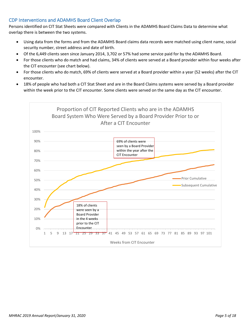## CDP Interventions and ADAMHS Board Client Overlap

Persons identified on CIT Stat Sheets were compared with Clients in the ADAMHS Board Claims Data to determine what overlap there is between the two systems.

- Using data from the forms and from the ADAMHS Board claims data records were matched using client name, social security number, street address and date of birth.
- Of the 6,449 clients seen since January 2014, 3,702 or 57% had some service paid for by the ADAMHS Board.
- For those clients who do match and had claims, 34% of clients were served at a Board provider within four weeks after the CIT encounter (see chart below).
- For those clients who do match, 69% of clients were served at a Board provider within a year (52 weeks) after the CIT encounter.
- 18% of people who had both a CIT Stat Sheet and are in the Board Claims systems were served by a Board provider within the week prior to the CIT encounter. Some clients were served on the same day as the CIT encounter.

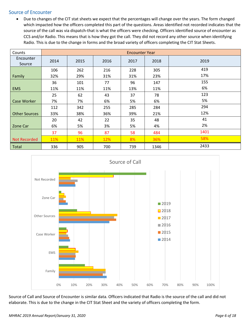## Source of Encounter

• Due to changes of the CIT stat sheets we expect that the percentages will change over the years. The form changed which impacted how the officers completed this part of the questions. Areas identified not recorded indicates that the source of the call was via dispatch-that is what the officers were checking. Officers identified source of encounter as CCS and/or Radio. This means that is how they got the call. They did not record any other source when identifying Radio. This is due to the change in forms and the broad variety of officers completing the CIT Stat Sheets.

| Counts               | <b>Encounter Year</b> |            |      |      |      |      |
|----------------------|-----------------------|------------|------|------|------|------|
| Encounter<br>Source  | 2014                  | 2015       | 2016 | 2017 | 2018 | 2019 |
|                      | 106                   | 262        | 216  | 228  | 305  | 419  |
| Family               | 32%                   | 29%        | 31%  | 31%  | 23%  | 17%  |
|                      | 36                    | 101        | 77   | 96   | 147  | 155  |
| <b>EMS</b>           | 11%                   | 11%        | 11%  | 13%  | 11%  | 6%   |
|                      | 25                    | 62         | 43   | 37   | 78   | 123  |
| <b>Case Worker</b>   | 7%                    | 7%         | 6%   | 5%   | 6%   | 5%   |
|                      | 112                   | 342        | 255  | 285  | 284  | 294  |
| <b>Other Sources</b> | 33%                   | 38%        | 36%  | 39%  | 21%  | 12%  |
|                      | 20                    | 42         | 22   | 35   | 48   | 41   |
| Zone Car             | 6%                    | 5%         | 3%   | 5%   | 4%   | 2%   |
|                      | 37                    | 96         | 87   | 58   | 484  | 1401 |
| <b>Not Recorded</b>  | 11%                   | <b>11%</b> | 12%  | 8%   | 36%  | 58%  |
| <b>Total</b>         | 336                   | 905        | 700  | 739  | 1346 | 2433 |



Source of Call and Source of Encounter is similar data. Officers indicated that Radio is the source of the call and did not elaborate. This is due to the change in the CIT Stat Sheet and the variety of officers completing the form.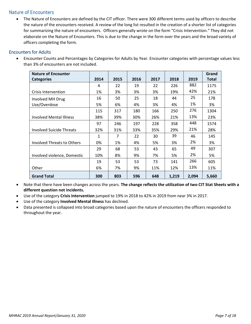## Nature of Encounters

• The Nature of Encounters are defined by the CIT officer. There were 300 different terms used by officers to describe the nature of the encounters received. A review of the long list resulted in the creation of a shorter list of categories for summarizing the nature of encounters. Officers generally wrote on the form "Crisis Intervention." They did not elaborate on the Nature of Encounters. This is due to the change in the form over the years and the broad variety of officers completing the form.

### Encounters for Adults

• Encounter Counts and Percentages by Categories for Adults by Year. Encounter categories with percentage values less than 3% of encounters are not included.

| <b>Nature of Encounter</b>        |      |      |      |      |       |       | Grand        |
|-----------------------------------|------|------|------|------|-------|-------|--------------|
| <b>Categories</b>                 | 2014 | 2015 | 2016 | 2017 | 2018  | 2019  | <b>Total</b> |
|                                   | 4    | 22   | 19   | 22   | 226   | 882   | 1175         |
| Crisis Intervention               | 1%   | 3%   | 3%   | 3%   | 19%   | 42%   | 21%          |
| Involved MH Drug                  | 16   | 50   | 25   | 18   | 44    | 25    | 178          |
| Use/Overdose                      | 5%   | 6%   | 4%   | 3%   | 4%    | 1%    | 3%           |
|                                   | 115  | 317  | 180  | 166  | 250   | 276   | 1304         |
| <b>Involved Mental Illness</b>    | 38%  | 39%  | 30%  | 26%  | 21%   | 13%   | 23%          |
|                                   | 97   | 246  | 197  | 228  | 358   | 448   | 1574         |
| <b>Involved Suicide Threats</b>   | 32%  | 31%  | 33%  | 35%  | 29%   | 21%   | 28%          |
|                                   | 1    | 7    | 22   | 30   | 39    | 46    | 145          |
| <b>Involved Threats to Others</b> | 0%   | 1%   | 4%   | 5%   | 3%    | 2%    | 3%           |
|                                   | 29   | 68   | 53   | 43   | 65    | 49    | 307          |
| Involved violence, Domestic       | 10%  | 8%   | 9%   | 7%   | 5%    | 2%    | 5%           |
|                                   | 19   | 53   | 53   | 73   | 141   | 266   | 605          |
| Other                             | 6%   | 7%   | 9%   | 11%  | 12%   | 13%   | 11%          |
| <b>Grand Total</b>                | 300  | 803  | 596  | 648  | 1,219 | 2,094 | 5,660        |

- Note that there have been changes across the years. **The change reflects the utilization of two CIT Stat Sheets with a different question not incidents.**
- Use of the category **Crisis Intervention** jumped to 19% in 2018 to 42% in 2019 from near 3% in 2017.
- Use of the category **Involved Mental Illness** has declined.
- Data presented is collapsed into broad categories based upon the nature of encounters the officers responded to throughout the year.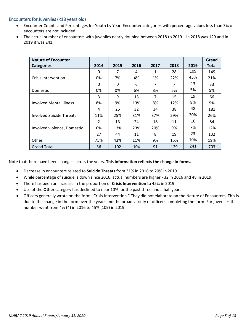#### Encounters for Juveniles (<18 years old)

- Encounter Counts and Percentages for Youth by Year. Encounter categories with percentage values less than 3% of encounters are not included.
- The actual number of encounters with juveniles nearly doubled between 2018 to 2019 in 2018 was 129 and in 2019 it was 241.

| <b>Nature of Encounter</b>      |                |          |      |      |      |      | Grand        |
|---------------------------------|----------------|----------|------|------|------|------|--------------|
| <b>Categories</b>               | 2014           | 2015     | 2016 | 2017 | 2018 | 2019 | <b>Total</b> |
|                                 | 0              | 7        | 4    | 1    | 28   | 109  | 149          |
| Crisis Intervention             | 0%             | 7%       | 4%   | 1%   | 22%  | 45%  | 21%          |
|                                 | 0              | $\Omega$ | 6    | 7    | 7    | 13   | 33           |
| Domestic                        | 0%             | 0%       | 6%   | 8%   | 5%   | 5%   | 5%           |
|                                 | 3              | 9        | 13   | 7    | 15   | 19   | 66           |
| <b>Involved Mental Illness</b>  | 8%             | 9%       | 13%  | 8%   | 12%  | 8%   | 9%           |
|                                 | 4              | 25       | 32   | 34   | 38   | 48   | 181          |
| <b>Involved Suicide Threats</b> | 11%            | 25%      | 31%  | 37%  | 29%  | 20%  | 26%          |
|                                 | $\mathfrak{p}$ | 13       | 24   | 18   | 11   | 16   | 84           |
| Involved violence, Domestic     | 6%             | 13%      | 23%  | 20%  | 9%   | 7%   | 12%          |
|                                 | 27             | 44       | 11   | 8    | 19   | 23   | 132          |
| Other                           | 75%            | 43%      | 11%  | 9%   | 15%  | 10%  | 19%          |
| <b>Grand Total</b>              | 36             | 102      | 104  | 91   | 129  | 241  | 703          |

Note that there have been changes across the years. **This information reflects the change in forms.** 

- Decrease in encounters related to **Suicide Threats** from 31% in 2016 to 20% in 2019
- While percentage of suicide is down since 2016, actual numbers are higher 32 in 2016 and 48 in 2019.
- There has been an increase in the proportion of **Crisis Intervention** to 45% in 2019.
- Use of the **Other** category has declined to near 10% for the past three and a half years.
- Officers generally wrote on the form "Crisis Intervention." They did not elaborate on the Nature of Encounters. This is due to the change in the form over the years and the broad variety of officers completing the form. For juveniles this number went from 4% (4) in 2016 to 45% (109) in 2019.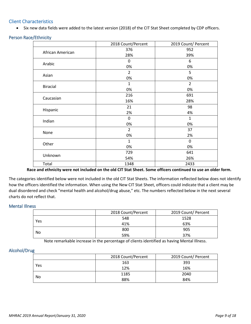## Client Characteristics

• Six new data fields were added to the latest version (2018) of the CIT Stat Sheet completed by CDP officers.

| <b>Person Race/Ethnicity</b> |  |  |  |
|------------------------------|--|--|--|
|------------------------------|--|--|--|

|                  | 2018 Count/Percent | 2019 Count/ Percent |
|------------------|--------------------|---------------------|
| African American | 376                | 952                 |
|                  | 28%                | 39%                 |
|                  | $\mathbf 0$        | 6                   |
| Arabic           | 0%                 | 0%                  |
| Asian            | $\overline{2}$     | 5                   |
|                  | 0%                 | 0%                  |
|                  | 1                  | $\overline{2}$      |
| <b>Biracial</b>  | 0%                 | 0%                  |
| Caucasian        | 216                | 691                 |
|                  | 16%                | 28%                 |
|                  | 21                 | 98                  |
| Hispanic         | 2%                 | 4%                  |
|                  | 0                  | $\mathbf{1}$        |
| Indian           | 0%                 | 0%                  |
| None             | $\overline{2}$     | 37                  |
|                  | 0%                 | 2%                  |
| Other            | $\mathbf{1}$       | $\mathbf 0$         |
|                  | 0%                 | 0%                  |
| Unknown          | 729                | 641                 |
|                  | 54%                | 26%                 |
| Total            | 1348               | 2433                |

**Race and ethnicity were not included on the old CIT Stat Sheet. Some officers continued to use an older form.**

The categories identified below were not included in the old CIT Stat Sheets. The information reflected below does not identify how the officers identified the information. When using the New CIT Stat Sheet, officers could indicate that a client may be dual disordered and check "mental health and alcohol/drug abuse," etc. The numbers reflected below in the next several charts do not reflect that.

#### Mental Illness

|     | 2018 Count/Percent | 2019 Count/ Percent |
|-----|--------------------|---------------------|
| Yes | 548                | 1528                |
|     | 41%                | 63%                 |
|     | 800                | 905                 |
| No  | 59%                | 37%                 |

Note remarkable increase in the percentage of clients identified as having Mental Illness.

#### Alcohol/Drug

|     | 2018 Count/Percent | 2019 Count/ Percent |
|-----|--------------------|---------------------|
| Yes | 163                | 393                 |
|     | 12%                | 16%                 |
|     | 1185               | 2040                |
| No  | 88%                | 84%                 |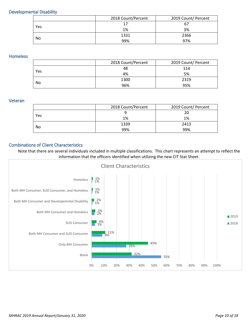#### Developmental Disability

|     | 2018 Count/Percent | 2019 Count/ Percent |
|-----|--------------------|---------------------|
| Yes | 17                 | 67                  |
|     | 1%                 | 3%                  |
|     | 1331               | 2366                |
| No  | 99%                | 97%                 |

## Homeless

|     | 2018 Count/Percent | 2019 Count/ Percent |
|-----|--------------------|---------------------|
| Yes | 48                 | 114                 |
|     | 4%                 | 5%                  |
|     | 1300               | 2319                |
| No  | 96%                | 95%                 |

#### Veteran

|     | 2018 Count/Percent | 2019 Count/ Percent |  |
|-----|--------------------|---------------------|--|
|     |                    | 20                  |  |
| Yes | 1%                 | 1%                  |  |
|     | 1339               | 2413                |  |
| No  | 99%                | 99%                 |  |

#### Combinations of Client Characteristics

Note that there are several individuals included in multiple classifications. This chart represents an attempt to reflect the information that the officers identified when utilizing the new CIT Stat Sheet.

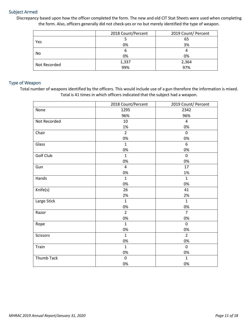#### Subject Armed

Discrepancy based upon how the officer completed the form. The new and old CIT Stat Sheets were used when completing the form. Also, officers generally did not check-yes or no but merely identified the type of weapon.

|              | 2018 Count/Percent | 2019 Count/ Percent |  |
|--------------|--------------------|---------------------|--|
|              |                    | 65                  |  |
| Yes          | 0%                 | 3%                  |  |
|              | h                  |                     |  |
| No           | 0%                 | 0%                  |  |
| Not Recorded | 1,337              | 2,364               |  |
|              | 99%                | 97%                 |  |

#### Type of Weapon

Total number of weapons identified by the officers. This would include use of a gun therefore the information is mixed. Total is 41 times in which officers indicated that the subject had a weapon.

|              | 2018 Count/Percent | 2019 Count/ Percent |
|--------------|--------------------|---------------------|
| None         | 1295               | 2342                |
|              | 96%                | 96%                 |
| Not Recorded | 10                 | $\overline{4}$      |
|              | 1%                 | 0%                  |
| Chair        | $\overline{2}$     | $\mathbf 0$         |
|              | 0%                 | 0%                  |
| Glass        | $\mathbf{1}$       | 6                   |
|              | 0%                 | 0%                  |
| Golf Club    | $\mathbf{1}$       | $\mathbf 0$         |
|              | 0%                 | 0%                  |
| Gun          | $\overline{4}$     | 17                  |
|              | 0%                 | 1%                  |
| Hands        | $\mathbf{1}$       | $\mathbf{1}$        |
|              | 0%                 | 0%                  |
| Knife(s)     | 26                 | 41                  |
|              | 2%                 | 2%                  |
| Large Stick  | $\mathbf{1}$       | $\mathbf{1}$        |
|              | 0%                 | 0%                  |
| Razor        | $\overline{2}$     | $\overline{7}$      |
|              | 0%                 | 0%                  |
| Rope         | $\mathbf{1}$       | $\mathbf 0$         |
|              | 0%                 | 0%                  |
| Scissors     | $\mathbf{1}$       | $\overline{2}$      |
|              | 0%                 | 0%                  |
| Train        | $\mathbf{1}$       | $\mathbf 0$         |
|              | 0%                 | 0%                  |
| Thumb Tack   | $\pmb{0}$          | $\mathbf{1}$        |
|              | 0%                 | 0%                  |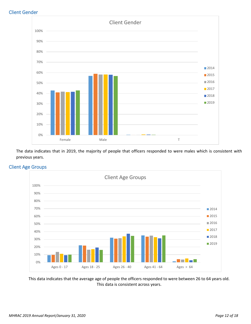### Client Gender



The data indicates that in 2019, the majority of people that officers responded to were males which is consistent with previous years.



## Client Age Groups

This data indicates that the average age of people the officers responded to were between 26 to 64 years old. This data is consistent across years.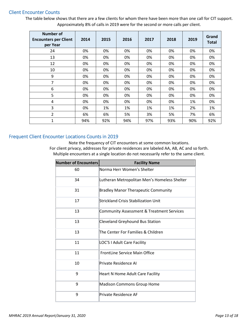#### Client Encounter Counts

The table below shows that there are a few clients for whom there have been more than one call for CIT support. Approximately 8% of calls in 2019 were for the second or more calls per client.

| <b>Number of</b><br><b>Encounters per Client</b><br>per Year | 2014 | 2015 | 2016 | 2017 | 2018 | 2019 | Grand<br><b>Total</b> |
|--------------------------------------------------------------|------|------|------|------|------|------|-----------------------|
| 24                                                           | 0%   | 0%   | 0%   | 0%   | 0%   | 0%   | 0%                    |
| 13                                                           | 0%   | 0%   | 0%   | 0%   | 0%   | 0%   | 0%                    |
| 12                                                           | 0%   | 0%   | 0%   | 0%   | 0%   | 0%   | 0%                    |
| 10                                                           | 0%   | 0%   | 0%   | 0%   | 0%   | 0%   | 0%                    |
| 9                                                            | 0%   | 0%   | 0%   | 0%   | 0%   | 0%   | 0%                    |
| 7                                                            | 0%   | 0%   | 0%   | 0%   | 0%   | 0%   | 0%                    |
| 6                                                            | 0%   | 0%   | 0%   | 0%   | 0%   | 0%   | 0%                    |
| 5                                                            | 0%   | 0%   | 0%   | 0%   | 0%   | 0%   | 0%                    |
| 4                                                            | 0%   | 0%   | 0%   | 0%   | 0%   | 1%   | 0%                    |
| 3                                                            | 0%   | 1%   | 1%   | 1%   | 1%   | 2%   | 1%                    |
| 2                                                            | 6%   | 6%   | 5%   | 3%   | 5%   | 7%   | 6%                    |
| $\mathbf{1}$                                                 | 94%  | 92%  | 94%  | 97%  | 93%  | 90%  | 92%                   |

## Frequent Client Encounter Locations Counts in 2019

Note the frequency of CIT encounters at some common locations. For client privacy, addresses for private residences are labeled AA, AB, AC and so forth. Multiple encounters at a single location do not necessarily refer to the same client.

| <b>Number of Encounters</b> | <b>Facility Name</b>                                 |
|-----------------------------|------------------------------------------------------|
| 60                          | Norma Herr Women's Shelter                           |
| 34                          | Lutheran Metropolitan Men's Homeless Shelter         |
| 31                          | <b>Bradley Manor Therapeutic Community</b>           |
| 17                          | Strickland Crisis Stabilization Unit                 |
| 13                          | <b>Community Assessment &amp; Treatment Services</b> |
| 13                          | <b>Cleveland Greyhound Bus Station</b>               |
| 13                          | The Center For Families & Children                   |
| 11                          | <b>LOC'S I Adult Care Facility</b>                   |
| 11                          | <b>FrontLine Service Main Office</b>                 |
| 10                          | Private Residence Al                                 |
| 9                           | Heart N Home Adult Care Facility                     |
| 9                           | <b>Madison Commons Group Home</b>                    |
| 9                           | Private Residence AF                                 |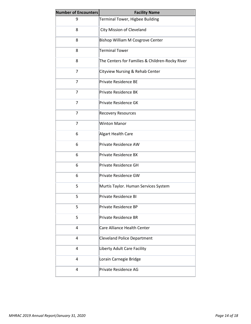| <b>Number of Encounters</b> | <b>Facility Name</b>                            |  |  |  |  |  |
|-----------------------------|-------------------------------------------------|--|--|--|--|--|
| 9                           | Terminal Tower, Higbee Building                 |  |  |  |  |  |
| 8                           | City Mission of Cleveland                       |  |  |  |  |  |
| 8                           | Bishop William M Cosgrove Center                |  |  |  |  |  |
| 8                           | <b>Terminal Tower</b>                           |  |  |  |  |  |
| 8                           | The Centers for Families & Children-Rocky River |  |  |  |  |  |
| $\overline{7}$              | Cityview Nursing & Rehab Center                 |  |  |  |  |  |
| $\overline{7}$              | <b>Private Residence BE</b>                     |  |  |  |  |  |
| $\overline{7}$              | <b>Private Residence BK</b>                     |  |  |  |  |  |
| 7                           | Private Residence GK                            |  |  |  |  |  |
| $\overline{7}$              | <b>Recovery Resources</b>                       |  |  |  |  |  |
| $\overline{7}$              | <b>Winton Manor</b>                             |  |  |  |  |  |
| 6                           | Algart Health Care                              |  |  |  |  |  |
| 6                           | Private Residence AW                            |  |  |  |  |  |
| 6                           | <b>Private Residence BX</b>                     |  |  |  |  |  |
| 6                           | Private Residence GH                            |  |  |  |  |  |
| 6                           | Private Residence GW                            |  |  |  |  |  |
| 5                           | Murtis Taylor. Human Services System            |  |  |  |  |  |
| 5                           | Private Residence BI                            |  |  |  |  |  |
| 5                           | Private Residence BP                            |  |  |  |  |  |
| 5                           | <b>Private Residence BR</b>                     |  |  |  |  |  |
| 4                           | Care Alliance Health Center                     |  |  |  |  |  |
| 4                           | <b>Cleveland Police Department</b>              |  |  |  |  |  |
| 4                           | Liberty Adult Care Facility                     |  |  |  |  |  |
| 4                           | Lorain Carnegie Bridge                          |  |  |  |  |  |
| 4                           | Private Residence AG                            |  |  |  |  |  |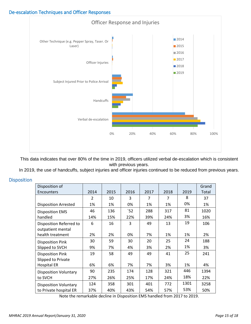## De-escalation Techniques and Officer Responses



This data indicates that over 80% of the time in 2019, officers utilized verbal de-escalation which is consistent with previous years.

In 2019, the use of handcuffs, subject injuries and officer injuries continued to be reduced from previous years.

| <b>Disposition</b> |  |  |  |  |
|--------------------|--|--|--|--|
|                    |  |  |  |  |

| Disposition of<br>Encounters | 2014           | 2015 | 2016 | 2017 | 2018 | 2019 | Grand<br>Total |
|------------------------------|----------------|------|------|------|------|------|----------------|
|                              | $\mathfrak{p}$ | 10   | 3    | 7    | 7    | 8    | 37             |
| <b>Disposition Arrested</b>  | 1%             | 1%   | 0%   | 1%   | 1%   | 0%   | 1%             |
| <b>Disposition EMS</b>       | 46             | 136  | 52   | 288  | 317  | 81   | 1020           |
| handled                      | 14%            | 15%  | 22%  | 39%  | 24%  | 3%   | 16%            |
| Disposition Referred to      | 6              | 16   | 3    | 49   | 13   | 19   | 106            |
| outpatient mental            |                |      |      |      |      |      |                |
| health treatment             | 2%             | 2%   | 0%   | 7%   | 1%   | 1%   | 2%             |
| <b>Disposition Pink</b>      | 30             | 59   | 30   | 20   | 25   | 24   | 188            |
| Slipped to SVCH              | 9%             | 7%   | 4%   | 3%   | 2%   | 1%   | 3%             |
| <b>Disposition Pink</b>      | 19             | 58   | 49   | 49   | 41   | 25   | 241            |
| Slipped to Private           |                |      |      |      |      |      |                |
| <b>Hospital ER</b>           | 6%             | 6%   | 7%   | 7%   | 3%   | 1%   | 4%             |
| <b>Disposition Voluntary</b> | 90             | 235  | 174  | 128  | 321  | 446  | 1394           |
| to SVCH                      | 27%            | 26%  | 25%  | 17%  | 24%  | 18%  | 22%            |
| <b>Disposition Voluntary</b> | 124            | 358  | 301  | 401  | 772  | 1301 | 3258           |
| to Private hospital ER       | 37%            | 40%  | 43%  | 54%  | 57%  | 53%  | 50%            |

Note the remarkable decline in Disposition EMS handled from 2017 to 2019.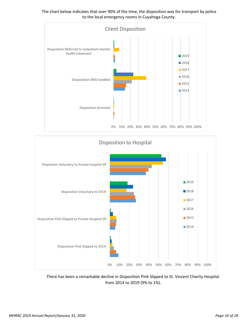The chart below indicates that over 90% of the time, the disposition was for transport by police to the local emergency rooms in Cuyahoga County.





There has been a remarkable decline in Disposition Pink Slipped to St. Vincent Charity Hospital from 2014 to 2019 (9% to 1%).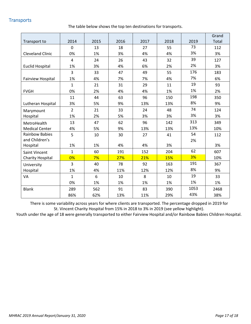## **Transports**

The table below shows the top ten destinations for transports.

|                          |                |      |      |      |      |      | Grand |
|--------------------------|----------------|------|------|------|------|------|-------|
| Transport to             | 2014           | 2015 | 2016 | 2017 | 2018 | 2019 | Total |
|                          | $\mathbf 0$    | 13   | 18   | 27   | 55   | 73   | 112   |
| <b>Cleveland Clinic</b>  | 0%             | 1%   | 3%   | 4%   | 4%   | 3%   | 3%    |
|                          | $\overline{4}$ | 24   | 26   | 43   | 32   | 39   | 127   |
| <b>Euclid Hospital</b>   | 1%             | 3%   | 4%   | 6%   | 2%   | 2%   | 3%    |
|                          | 3              | 33   | 47   | 49   | 55   | 176  | 183   |
| <b>Fairview Hospital</b> | 1%             | 4%   | 7%   | 7%   | 4%   | 7%   | 6%    |
|                          | $\mathbf{1}$   | 21   | 31   | 29   | 11   | 19   | 93    |
| <b>FVGH</b>              | 0%             | 2%   | 4%   | 4%   | 1%   | 1%   | 2%    |
|                          | 11             | 44   | 63   | 96   | 150  | 198  | 350   |
| Lutheran Hospital        | 3%             | 5%   | 9%   | 13%  | 13%  | 8%   | 9%    |
| Marymount                | $\overline{2}$ | 21   | 33   | 24   | 48   | 74   | 124   |
| Hospital                 | 1%             | 2%   | 5%   | 3%   | 3%   | 3%   | 3%    |
| MetroHealth              | 13             | 47   | 62   | 96   | 142  | 313  | 349   |
| <b>Medical Center</b>    | 4%             | 5%   | 9%   | 13%  | 13%  | 13%  | 10%   |
| <b>Rainbow Babies</b>    | 5              | 10   | 30   | 27   | 41   | 54   | 112   |
| and Children's           |                |      |      |      |      | 2%   |       |
| Hospital                 | 1%             | 1%   | 4%   | 4%   | 3%   |      | 3%    |
| <b>Saint Vincent</b>     | $\mathbf{1}$   | 60   | 191  | 152  | 204  | 62   | 607   |
| <b>Charity Hospital</b>  | 0%             | 7%   | 27%  | 21%  | 15%  | 3%   | 10%   |
| University               | 3              | 40   | 78   | 92   | 163  | 191  | 367   |
| Hospital                 | 1%             | 4%   | 11%  | 12%  | 12%  | 8%   | 9%    |
| VA                       | $\mathbf{1}$   | 6    | 10   | 8    | 10   | 19   | 33    |
|                          | 0%             | 1%   | 1%   | 1%   | 1%   | 1%   | 1%    |
| <b>Blank</b>             | 289            | 562  | 91   | 83   | 390  | 1053 | 2468  |
|                          | 86%            | 62%  | 13%  | 11%  | 29%  | 43%  | 38%   |

There is some variability across years for where clients are transported. The percentage dropped in 2019 for St. Vincent Charity Hospital from 15% in 2018 to 3% in 2019 (see yellow highlight).

Youth under the age of 18 were generally transported to either Fairview Hospital and/or Rainbow Babies Children Hospital.